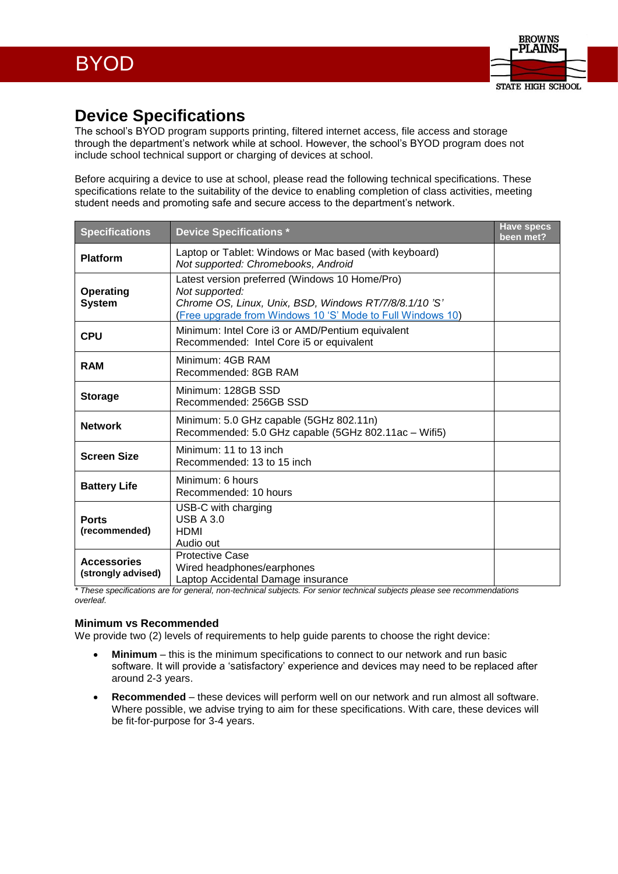

## **Device Specifications**

The school's BYOD program supports printing, filtered internet access, file access and storage through the department's network while at school. However, the school's BYOD program does not include school technical support or charging of devices at school.

Before acquiring a device to use at school, please read the following technical specifications. These specifications relate to the suitability of the device to enabling completion of class activities, meeting student needs and promoting safe and secure access to the department's network.

| <b>Specifications</b>                    | <b>Device Specifications *</b>                                                                                                                                                          | <b>Have specs</b><br>been met? |
|------------------------------------------|-----------------------------------------------------------------------------------------------------------------------------------------------------------------------------------------|--------------------------------|
| <b>Platform</b>                          | Laptop or Tablet: Windows or Mac based (with keyboard)<br>Not supported: Chromebooks, Android                                                                                           |                                |
| <b>Operating</b><br><b>System</b>        | Latest version preferred (Windows 10 Home/Pro)<br>Not supported:<br>Chrome OS, Linux, Unix, BSD, Windows RT/7/8/8.1/10'S'<br>(Free upgrade from Windows 10 'S' Mode to Full Windows 10) |                                |
| <b>CPU</b>                               | Minimum: Intel Core i3 or AMD/Pentium equivalent<br>Recommended: Intel Core i5 or equivalent                                                                                            |                                |
| <b>RAM</b>                               | Minimum: 4GB RAM<br>Recommended: 8GB RAM                                                                                                                                                |                                |
| <b>Storage</b>                           | Minimum: 128GB SSD<br>Recommended: 256GB SSD                                                                                                                                            |                                |
| <b>Network</b>                           | Minimum: 5.0 GHz capable (5GHz 802.11n)<br>Recommended: 5.0 GHz capable (5GHz 802.11ac - Wifi5)                                                                                         |                                |
| <b>Screen Size</b>                       | Minimum: 11 to 13 inch<br>Recommended: 13 to 15 inch                                                                                                                                    |                                |
| <b>Battery Life</b>                      | Minimum: 6 hours<br>Recommended: 10 hours                                                                                                                                               |                                |
| <b>Ports</b><br>(recommended)            | USB-C with charging<br>USB $A$ 3.0<br><b>HDMI</b><br>Audio out                                                                                                                          |                                |
| <b>Accessories</b><br>(strongly advised) | <b>Protective Case</b><br>Wired headphones/earphones<br>Laptop Accidental Damage insurance                                                                                              |                                |

*\* These specifications are for general, non-technical subjects. For senior technical subjects please see recommendations overleaf.*

## **Minimum vs Recommended**

We provide two (2) levels of requirements to help guide parents to choose the right device:

- **Minimum** this is the minimum specifications to connect to our network and run basic software. It will provide a 'satisfactory' experience and devices may need to be replaced after around 2-3 years.
- **Recommended** these devices will perform well on our network and run almost all software. Where possible, we advise trying to aim for these specifications. With care, these devices will be fit-for-purpose for 3-4 years.